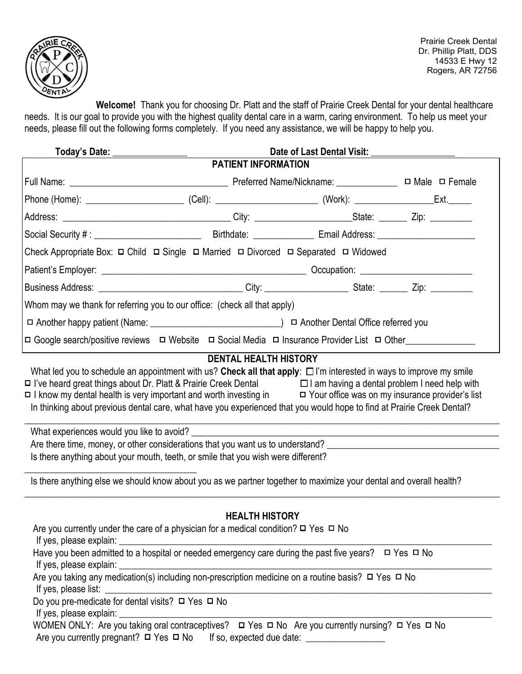

Prairie Creek Dental Dr. Phillip Platt, DDS 14533 E Hwy 12 Rogers, AR 72756

**Welcome!** Thank you for choosing Dr. Platt and the staff of Prairie Creek Dental for your dental healthcare needs. It is our goal to provide you with the highest quality dental care in a warm, caring environment. To help us meet your needs, please fill out the following forms completely. If you need any assistance, we will be happy to help you.

| Today's Date: _________________                                                                                                                                                                                                                                                                                                                                                                                                                                                                                                                                                                                                                                                                              | Date of Last Dental Visit: ________                                                  |  |                           |  |  |  |
|--------------------------------------------------------------------------------------------------------------------------------------------------------------------------------------------------------------------------------------------------------------------------------------------------------------------------------------------------------------------------------------------------------------------------------------------------------------------------------------------------------------------------------------------------------------------------------------------------------------------------------------------------------------------------------------------------------------|--------------------------------------------------------------------------------------|--|---------------------------|--|--|--|
|                                                                                                                                                                                                                                                                                                                                                                                                                                                                                                                                                                                                                                                                                                              | <b>PATIENT INFORMATION</b>                                                           |  |                           |  |  |  |
|                                                                                                                                                                                                                                                                                                                                                                                                                                                                                                                                                                                                                                                                                                              |                                                                                      |  | $\Box$ Male $\Box$ Female |  |  |  |
|                                                                                                                                                                                                                                                                                                                                                                                                                                                                                                                                                                                                                                                                                                              |                                                                                      |  |                           |  |  |  |
|                                                                                                                                                                                                                                                                                                                                                                                                                                                                                                                                                                                                                                                                                                              |                                                                                      |  |                           |  |  |  |
|                                                                                                                                                                                                                                                                                                                                                                                                                                                                                                                                                                                                                                                                                                              |                                                                                      |  |                           |  |  |  |
| Check Appropriate Box: $\Box$ Child $\Box$ Single $\Box$ Married $\Box$ Divorced $\Box$ Separated $\Box$ Widowed                                                                                                                                                                                                                                                                                                                                                                                                                                                                                                                                                                                             |                                                                                      |  |                           |  |  |  |
|                                                                                                                                                                                                                                                                                                                                                                                                                                                                                                                                                                                                                                                                                                              |                                                                                      |  |                           |  |  |  |
| Business Address: __________________________________City: ______________________State: _________Zip: ___________                                                                                                                                                                                                                                                                                                                                                                                                                                                                                                                                                                                             |                                                                                      |  |                           |  |  |  |
| Whom may we thank for referring you to our office: (check all that apply)                                                                                                                                                                                                                                                                                                                                                                                                                                                                                                                                                                                                                                    |                                                                                      |  |                           |  |  |  |
|                                                                                                                                                                                                                                                                                                                                                                                                                                                                                                                                                                                                                                                                                                              |                                                                                      |  |                           |  |  |  |
| □ Google search/positive reviews □ Website □ Social Media □ Insurance Provider List □ Other______________                                                                                                                                                                                                                                                                                                                                                                                                                                                                                                                                                                                                    |                                                                                      |  |                           |  |  |  |
| □ I've heard great things about Dr. Platt & Prairie Creek Dental □ I am having a dental problem I need help with<br>□ I know my dental health is very important and worth investing in □ Your office was on my insurance provider's list<br>In thinking about previous dental care, what have you experienced that you would hope to find at Prairie Creek Dental?<br>What experiences would you like to avoid?<br>Are there time, money, or other considerations that you want us to understand?<br>Is there anything about your mouth, teeth, or smile that you wish were different?<br>Is there anything else we should know about you as we partner together to maximize your dental and overall health? |                                                                                      |  |                           |  |  |  |
| Are you currently under the care of a physician for a medical condition? $\Box$ Yes $\Box$ No<br>If yes, please explain:<br>Have you been admitted to a hospital or needed emergency care during the past five years? $\Box$ Yes $\Box$ No<br>If yes, please explain:<br>Are you taking any medication(s) including non-prescription medicine on a routine basis? □ Yes □ No<br>If yes, please list:<br>Do you pre-medicate for dental visits? □ Yes □ No<br>WOMEN ONLY: Are you taking oral contraceptives?<br>□ Yes □ No<br>No<br>Are you currently nursing? □ Yes □ No                                                                                                                                    | <b>HEALTH HISTORY</b><br><u> 1989 - Johann Stoff, amerikansk politiker (d. 1989)</u> |  |                           |  |  |  |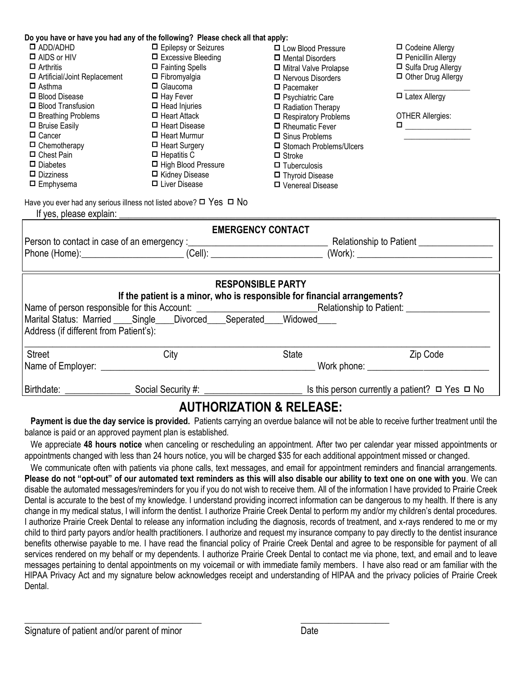| Do you have or have you had any of the following? Please check all that apply:                                                      |                            |  |                                           |                                                                                                                                                                                   |  |  |  |  |
|-------------------------------------------------------------------------------------------------------------------------------------|----------------------------|--|-------------------------------------------|-----------------------------------------------------------------------------------------------------------------------------------------------------------------------------------|--|--|--|--|
| $\square$ ADD/ADHD                                                                                                                  | □ Epilepsy or Seizures     |  | □ Codeine Allergy<br>□ Low Blood Pressure |                                                                                                                                                                                   |  |  |  |  |
| $\Box$ AIDS or HIV                                                                                                                  | $\Box$ Excessive Bleeding  |  | $\Box$ Mental Disorders                   | □ Penicillin Allergy                                                                                                                                                              |  |  |  |  |
| $\Box$ Arthritis                                                                                                                    | □ Fainting Spells          |  | □ Mitral Valve Prolapse                   | □ Sulfa Drug Allergy                                                                                                                                                              |  |  |  |  |
| □ Artificial/Joint Replacement                                                                                                      | $\Box$ Fibromyalgia        |  | $\Box$ Nervous Disorders                  | □ Other Drug Allergy                                                                                                                                                              |  |  |  |  |
| $\Box$ Asthma                                                                                                                       | $\Box$ Glaucoma            |  | $\Box$ Pacemaker                          |                                                                                                                                                                                   |  |  |  |  |
| □ Blood Disease                                                                                                                     | $\Box$ Hay Fever           |  | $\Box$ Psychiatric Care                   | $\Box$ Latex Allergy                                                                                                                                                              |  |  |  |  |
| □ Blood Transfusion                                                                                                                 | $\Box$ Head Injuries       |  | □ Radiation Therapy                       |                                                                                                                                                                                   |  |  |  |  |
| $\Box$ Breathing Problems                                                                                                           | $\Box$ Heart Attack        |  | $\Box$ Respiratory Problems               | <b>OTHER Allergies:</b>                                                                                                                                                           |  |  |  |  |
| $\Box$ Bruise Easily                                                                                                                | $\Box$ Heart Disease       |  | □ Rheumatic Fever                         | $\begin{tabular}{ c c c c } \hline \quad \quad & \quad \quad & \quad \quad & \quad \quad \\ \hline \quad \quad & \quad \quad & \quad \quad & \quad \quad \\ \hline \end{tabular}$ |  |  |  |  |
| $\Box$ Cancer                                                                                                                       | $\Box$ Heart Murmur        |  | $\Box$ Sinus Problems                     |                                                                                                                                                                                   |  |  |  |  |
| $\Box$ Chemotherapy                                                                                                                 | $\Box$ Heart Surgery       |  | □ Stomach Problems/Ulcers                 |                                                                                                                                                                                   |  |  |  |  |
| $\Box$ Chest Pain                                                                                                                   | $\Box$ Hepatitis C         |  | $\Box$ Stroke                             |                                                                                                                                                                                   |  |  |  |  |
| $\Box$ Diabetes                                                                                                                     | $\Box$ High Blood Pressure |  | $\Box$ Tuberculosis                       |                                                                                                                                                                                   |  |  |  |  |
| $\Box$ Dizziness                                                                                                                    | □ Kidney Disease           |  | □ Thyroid Disease                         |                                                                                                                                                                                   |  |  |  |  |
| $\Box$ Emphysema                                                                                                                    | □ Liver Disease            |  | □ Venereal Disease                        |                                                                                                                                                                                   |  |  |  |  |
| Have you ever had any serious illness not listed above? $\Box$ Yes $\Box$ No<br>If yes, please explain:<br><b>EMERGENCY CONTACT</b> |                            |  |                                           |                                                                                                                                                                                   |  |  |  |  |
|                                                                                                                                     |                            |  |                                           |                                                                                                                                                                                   |  |  |  |  |
|                                                                                                                                     |                            |  |                                           |                                                                                                                                                                                   |  |  |  |  |
|                                                                                                                                     |                            |  |                                           |                                                                                                                                                                                   |  |  |  |  |
| <b>RESPONSIBLE PARTY</b><br>If the patient is a minor, who is responsible for financial arrangements?                               |                            |  |                                           |                                                                                                                                                                                   |  |  |  |  |
|                                                                                                                                     |                            |  |                                           |                                                                                                                                                                                   |  |  |  |  |
|                                                                                                                                     |                            |  |                                           |                                                                                                                                                                                   |  |  |  |  |
| Marital Status: Married ____ Single ___ Divorced ___ Seperated ___ Widowed                                                          |                            |  |                                           |                                                                                                                                                                                   |  |  |  |  |
| Address (if different from Patient's):                                                                                              |                            |  |                                           |                                                                                                                                                                                   |  |  |  |  |
| <b>Street</b>                                                                                                                       | City                       |  | <b>State</b>                              | Zip Code                                                                                                                                                                          |  |  |  |  |
|                                                                                                                                     |                            |  |                                           |                                                                                                                                                                                   |  |  |  |  |
|                                                                                                                                     |                            |  |                                           |                                                                                                                                                                                   |  |  |  |  |
| Birthdate:                                                                                                                          | Social Security #:         |  |                                           | Is this person currently a patient? $\Box$ Yes $\Box$ No                                                                                                                          |  |  |  |  |
|                                                                                                                                     |                            |  |                                           |                                                                                                                                                                                   |  |  |  |  |

## **AUTHORIZATION & RELEASE:**

**Payment is due the day service is provided.** Patients carrying an overdue balance will not be able to receive further treatment until the balance is paid or an approved payment plan is established.

We appreciate **48 hours notice** when canceling or rescheduling an appointment. After two per calendar year missed appointments or appointments changed with less than 24 hours notice, you will be charged \$35 for each additional appointment missed or changed.

We communicate often with patients via phone calls, text messages, and email for appointment reminders and financial arrangements. **Please do not "opt-out" of our automated text reminders as this will also disable our ability to text one on one with you**. We can disable the automated messages/reminders for you if you do not wish to receive them. All of the information I have provided to Prairie Creek Dental is accurate to the best of my knowledge. I understand providing incorrect information can be dangerous to my health. If there is any change in my medical status, I will inform the dentist. I authorize Prairie Creek Dental to perform my and/or my children's dental procedures. I authorize Prairie Creek Dental to release any information including the diagnosis, records of treatment, and x-rays rendered to me or my child to third party payors and/or health practitioners. I authorize and request my insurance company to pay directly to the dentist insurance benefits otherwise payable to me. I have read the financial policy of Prairie Creek Dental and agree to be responsible for payment of all services rendered on my behalf or my dependents. I authorize Prairie Creek Dental to contact me via phone, text, and email and to leave messages pertaining to dental appointments on my voicemail or with immediate family members. I have also read or am familiar with the HIPAA Privacy Act and my signature below acknowledges receipt and understanding of HIPAA and the privacy policies of Prairie Creek Dental.

 $\overline{\phantom{a}}$  , and the contract of the contract of the contract of the contract of the contract of the contract of the contract of the contract of the contract of the contract of the contract of the contract of the contrac